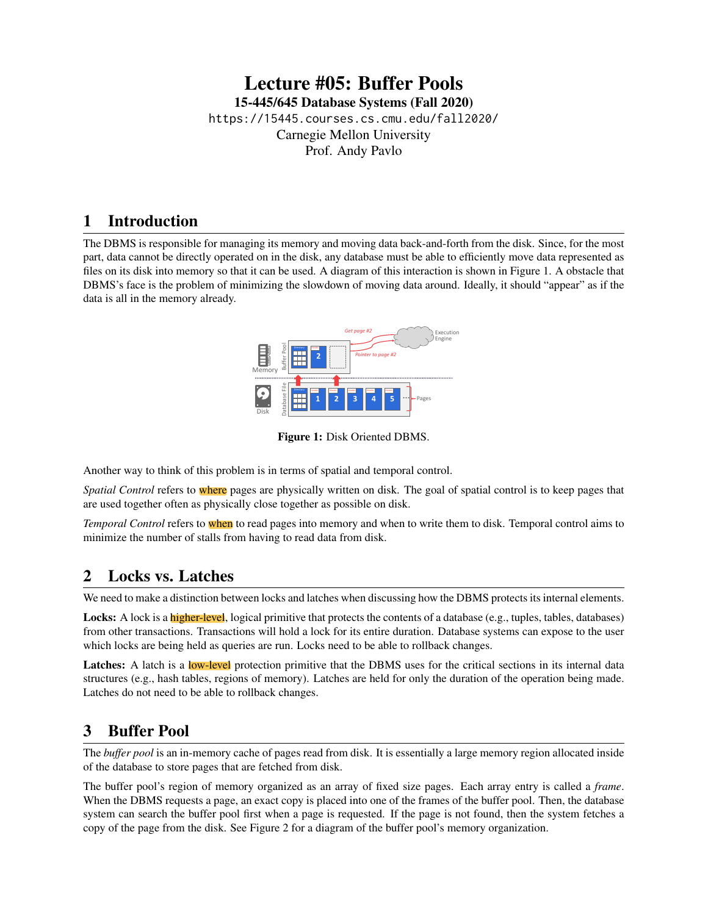## Lecture #05: Buffer Pools [15-445/645 Database Systems \(Fall 2020\)](https://15445.courses.cs.cmu.edu/fall2020/) <https://15445.courses.cs.cmu.edu/fall2020/> Carnegie Mellon University [Prof. Andy Pavlo](http://www.cs.cmu.edu/~pavlo/)

## 1 Introduction

<span id="page-0-0"></span>The DBMS is responsible for managing its memory and moving data back-and-forth from the disk. Since, for the most part, data cannot be directly operated on in the disk, any database must be able to efficiently move data represented as files on its disk into memory so that it can be used. A diagram of this interaction is shown in [Figure 1.](#page-0-0) A obstacle that DBMS's face is the problem of minimizing the slowdown of moving data around. Ideally, it should "appear" as if the data is all in the memory already.



Figure 1: Disk Oriented DBMS.

Another way to think of this problem is in terms of spatial and temporal control.

*Spatial Control* refers to where pages are physically written on disk. The goal of spatial control is to keep pages that are used together often as physically close together as possible on disk.

*Temporal Control* refers to when to read pages into memory and when to write them to disk. Temporal control aims to minimize the number of stalls from having to read data from disk.

# 2 Locks vs. Latches

We need to make a distinction between locks and latches when discussing how the DBMS protects its internal elements.

Locks: A lock is a higher-level, logical primitive that protects the contents of a database (e.g., tuples, tables, databases) from other transactions. Transactions will hold a lock for its entire duration. Database systems can expose to the user which locks are being held as queries are run. Locks need to be able to rollback changes.

Latches: A latch is a low-level protection primitive that the DBMS uses for the critical sections in its internal data structures (e.g., hash tables, regions of memory). Latches are held for only the duration of the operation being made. Latches do not need to be able to rollback changes.

## 3 Buffer Pool

The *buffer pool* is an in-memory cache of pages read from disk. It is essentially a large memory region allocated inside of the database to store pages that are fetched from disk.

The buffer pool's region of memory organized as an array of fixed size pages. Each array entry is called a *frame*. When the DBMS requests a page, an exact copy is placed into one of the frames of the buffer pool. Then, the database system can search the buffer pool first when a page is requested. If the page is not found, then the system fetches a copy of the page from the disk. See [Figure 2](#page-1-0) for a diagram of the buffer pool's memory organization.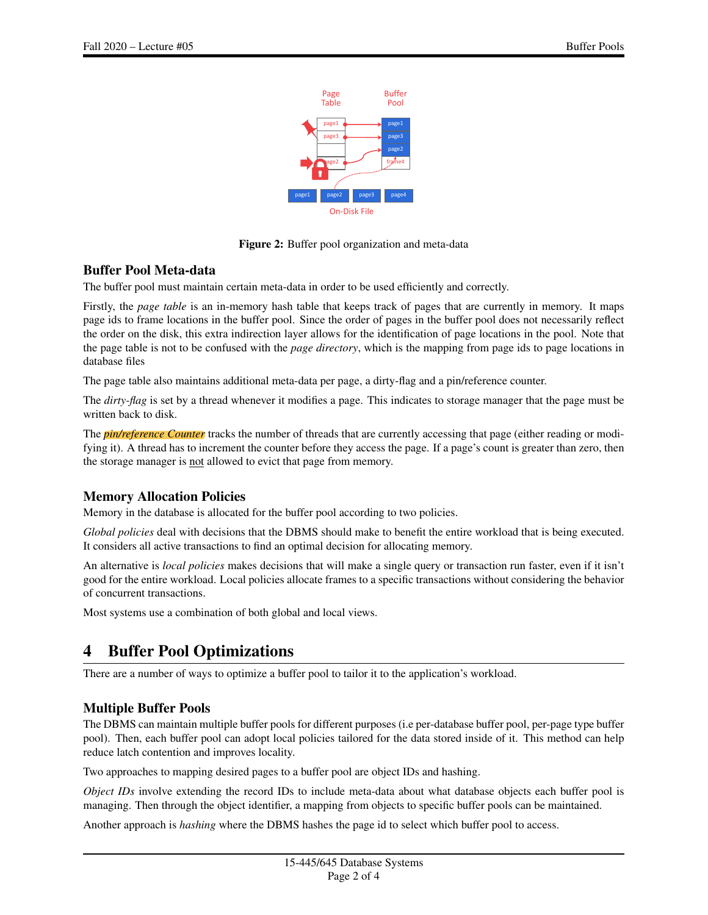

Figure 2: Buffer pool organization and meta-data

#### <span id="page-1-0"></span>Buffer Pool Meta-data

The buffer pool must maintain certain meta-data in order to be used efficiently and correctly.

Firstly, the *page table* is an in-memory hash table that keeps track of pages that are currently in memory. It maps page ids to frame locations in the buffer pool. Since the order of pages in the buffer pool does not necessarily reflect the order on the disk, this extra indirection layer allows for the identification of page locations in the pool. Note that the page table is not to be confused with the *page directory*, which is the mapping from page ids to page locations in database files

The page table also maintains additional meta-data per page, a dirty-flag and a pin/reference counter.

The *dirty-flag* is set by a thread whenever it modifies a page. This indicates to storage manager that the page must be written back to disk.

The *pin/reference Counter* tracks the number of threads that are currently accessing that page (either reading or modifying it). A thread has to increment the counter before they access the page. If a page's count is greater than zero, then the storage manager is not allowed to evict that page from memory.

#### Memory Allocation Policies

Memory in the database is allocated for the buffer pool according to two policies.

*Global policies* deal with decisions that the DBMS should make to benefit the entire workload that is being executed. It considers all active transactions to find an optimal decision for allocating memory.

An alternative is *local policies* makes decisions that will make a single query or transaction run faster, even if it isn't good for the entire workload. Local policies allocate frames to a specific transactions without considering the behavior of concurrent transactions.

Most systems use a combination of both global and local views.

# 4 Buffer Pool Optimizations

There are a number of ways to optimize a buffer pool to tailor it to the application's workload.

#### Multiple Buffer Pools

The DBMS can maintain multiple buffer pools for different purposes (i.e per-database buffer pool, per-page type buffer pool). Then, each buffer pool can adopt local policies tailored for the data stored inside of it. This method can help reduce latch contention and improves locality.

Two approaches to mapping desired pages to a buffer pool are object IDs and hashing.

*Object IDs* involve extending the record IDs to include meta-data about what database objects each buffer pool is managing. Then through the object identifier, a mapping from objects to specific buffer pools can be maintained.

Another approach is *hashing* where the DBMS hashes the page id to select which buffer pool to access.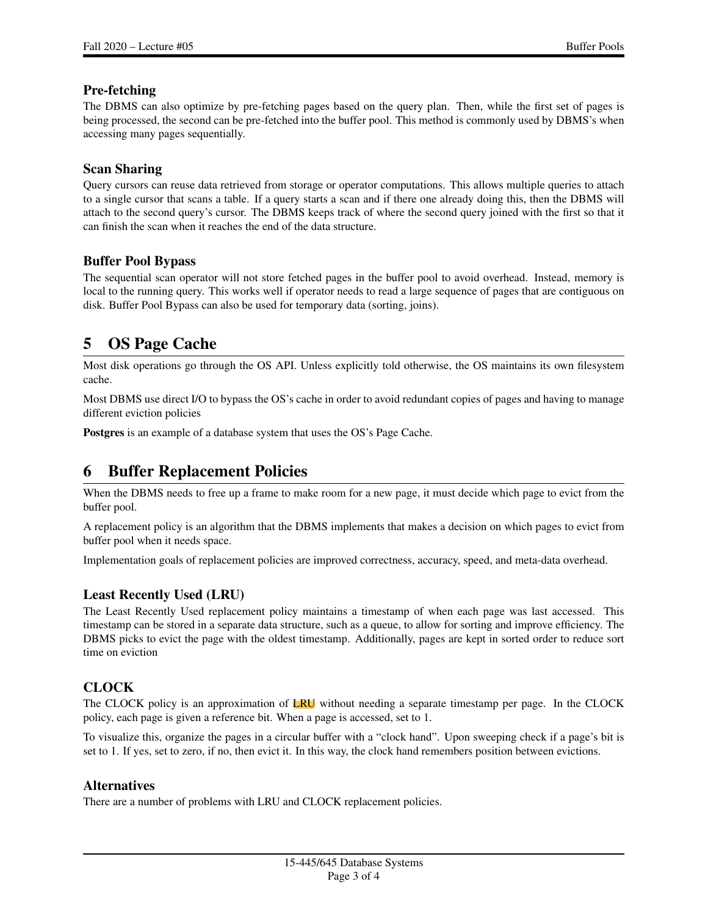#### Pre-fetching

The DBMS can also optimize by pre-fetching pages based on the query plan. Then, while the first set of pages is being processed, the second can be pre-fetched into the buffer pool. This method is commonly used by DBMS's when accessing many pages sequentially.

#### Scan Sharing

Query cursors can reuse data retrieved from storage or operator computations. This allows multiple queries to attach to a single cursor that scans a table. If a query starts a scan and if there one already doing this, then the DBMS will attach to the second query's cursor. The DBMS keeps track of where the second query joined with the first so that it can finish the scan when it reaches the end of the data structure.

#### Buffer Pool Bypass

The sequential scan operator will not store fetched pages in the buffer pool to avoid overhead. Instead, memory is local to the running query. This works well if operator needs to read a large sequence of pages that are contiguous on disk. Buffer Pool Bypass can also be used for temporary data (sorting, joins).

# 5 OS Page Cache

Most disk operations go through the OS API. Unless explicitly told otherwise, the OS maintains its own filesystem cache.

Most DBMS use direct I/O to bypass the OS's cache in order to avoid redundant copies of pages and having to manage different eviction policies

Postgres is an example of a database system that uses the OS's Page Cache.

# 6 Buffer Replacement Policies

When the DBMS needs to free up a frame to make room for a new page, it must decide which page to evict from the buffer pool.

A replacement policy is an algorithm that the DBMS implements that makes a decision on which pages to evict from buffer pool when it needs space.

Implementation goals of replacement policies are improved correctness, accuracy, speed, and meta-data overhead.

#### Least Recently Used (LRU)

The Least Recently Used replacement policy maintains a timestamp of when each page was last accessed. This timestamp can be stored in a separate data structure, such as a queue, to allow for sorting and improve efficiency. The DBMS picks to evict the page with the oldest timestamp. Additionally, pages are kept in sorted order to reduce sort time on eviction

#### **CLOCK**

The CLOCK policy is an approximation of LRU without needing a separate timestamp per page. In the CLOCK policy, each page is given a reference bit. When a page is accessed, set to 1.

To visualize this, organize the pages in a circular buffer with a "clock hand". Upon sweeping check if a page's bit is set to 1. If yes, set to zero, if no, then evict it. In this way, the clock hand remembers position between evictions.

#### Alternatives

There are a number of problems with LRU and CLOCK replacement policies.